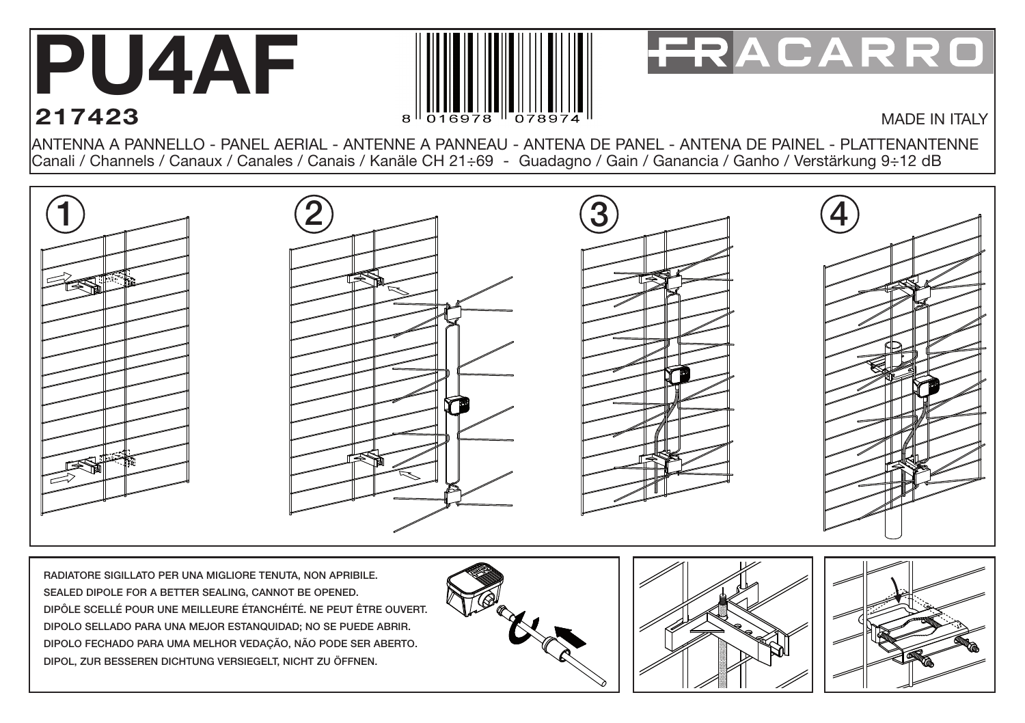## **PU4AF 217423**



## FRACARRO

## MADE IN ITALY

ANTENNA A PANNELLO - PANEL AERIAL - ANTENNE A PANNEAU - ANTENA DE PANEL - ANTENA DE PAINEL - PLATTENANTENNE Canali / Channels / Canaux / Canales / Canais / Kanäle CH 21÷69 - Guadagno / Gain / Ganancia / Ganho / Verstärkung 9÷12 dB



RADIATORE SIGILLATO PER UNA MIGLIORE TENUTA, NON APRIBILE. SEALED DIPOLE FOR A BETTER SEALING, CANNOT BE OPENED. DIPÔLE SCELLÉ POUR UNE MEILLEURE ÉTANCHÉITÉ. NE PEUT ÊTRE OUVERT. DIPOLO SELLADO PARA UNA MEJOR ESTANQUIDAD; NO SE PUEDE ABRIR. DIPOLO FECHADO PARA UMA MELHOR VEDAÇÃO, NÃO PODE SER ABERTO. DIPOL, ZUR BESSEREN DICHTUNG VERSIEGELT, NICHT ZU ÖFFNEN.